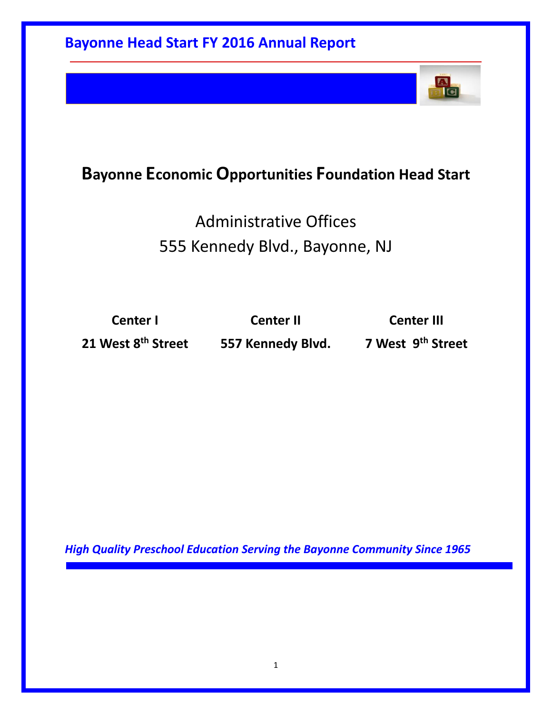

## **Bayonne Economic Opportunities Foundation Head Start**

# Administrative Offices 555 Kennedy Blvd., Bayonne, NJ

**Center I Center II Center III**

丹

**21 West 8th Street 557 Kennedy Blvd. 7 West 9th Street**

*High Quality Preschool Education Serving the Bayonne Community Since 1965*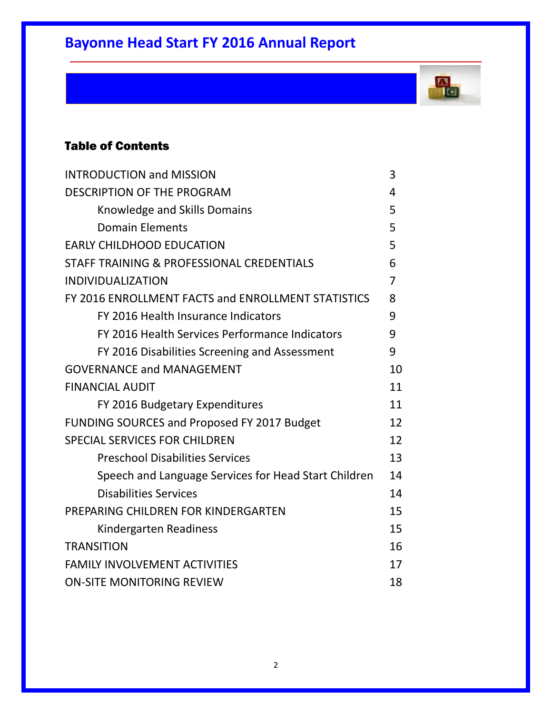

### Table of Contents

| <b>INTRODUCTION and MISSION</b>                      | 3  |
|------------------------------------------------------|----|
| <b>DESCRIPTION OF THE PROGRAM</b>                    | 4  |
| Knowledge and Skills Domains                         | 5  |
| <b>Domain Elements</b>                               | 5  |
| <b>EARLY CHILDHOOD EDUCATION</b>                     | 5  |
| STAFF TRAINING & PROFESSIONAL CREDENTIALS            | 6  |
| <b>INDIVIDUALIZATION</b>                             | 7  |
| FY 2016 ENROLLMENT FACTS and ENROLLMENT STATISTICS   | 8  |
| FY 2016 Health Insurance Indicators                  | 9  |
| FY 2016 Health Services Performance Indicators       | 9  |
| FY 2016 Disabilities Screening and Assessment        | 9  |
| <b>GOVERNANCE and MANAGEMENT</b>                     | 10 |
| <b>FINANCIAL AUDIT</b>                               | 11 |
| FY 2016 Budgetary Expenditures                       | 11 |
| FUNDING SOURCES and Proposed FY 2017 Budget          | 12 |
| <b>SPECIAL SERVICES FOR CHILDREN</b>                 | 12 |
| <b>Preschool Disabilities Services</b>               | 13 |
| Speech and Language Services for Head Start Children | 14 |
| <b>Disabilities Services</b>                         | 14 |
| PREPARING CHILDREN FOR KINDERGARTEN                  | 15 |
| Kindergarten Readiness                               | 15 |
| <b>TRANSITION</b>                                    | 16 |
| <b>FAMILY INVOLVEMENT ACTIVITIES</b>                 | 17 |
| <b>ON-SITE MONITORING REVIEW</b>                     | 18 |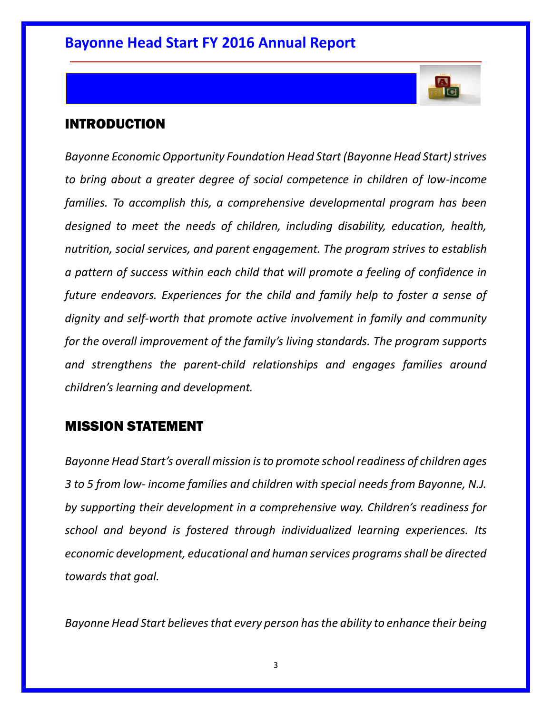

### INTRODUCTION

*Bayonne Economic Opportunity Foundation Head Start (Bayonne Head Start) strives to bring about a greater degree of social competence in children of low-income families. To accomplish this, a comprehensive developmental program has been designed to meet the needs of children, including disability, education, health, nutrition, social services, and parent engagement. The program strives to establish a pattern of success within each child that will promote a feeling of confidence in future endeavors. Experiences for the child and family help to foster a sense of dignity and self-worth that promote active involvement in family and community for the overall improvement of the family's living standards. The program supports and strengthens the parent-child relationships and engages families around children's learning and development.* 

### MISSION STATEMENT

*Bayonne Head Start's overall mission is to promote school readiness of children ages 3 to 5 from low- income families and children with special needs from Bayonne, N.J. by supporting their development in a comprehensive way. Children's readiness for school and beyond is fostered through individualized learning experiences. Its economic development, educational and human services programs shall be directed towards that goal.*

*Bayonne Head Start believes that every person has the ability to enhance their being*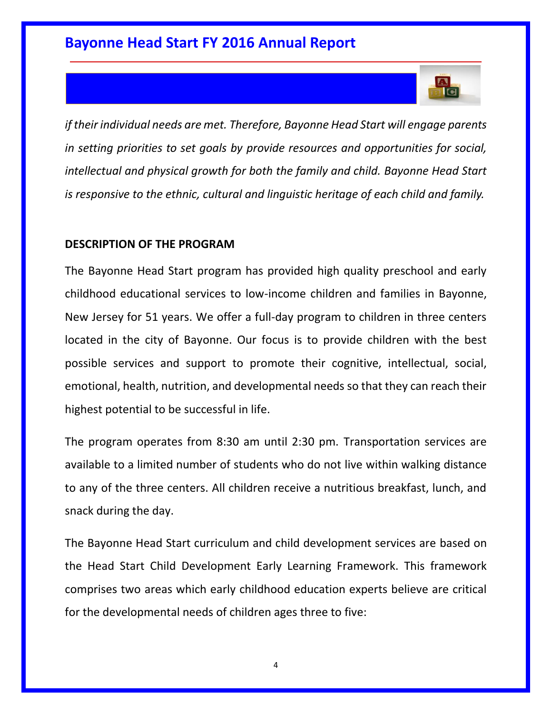

*if their individual needs are met. Therefore, Bayonne Head Start will engage parents in setting priorities to set goals by provide resources and opportunities for social, intellectual and physical growth for both the family and child. Bayonne Head Start is responsive to the ethnic, cultural and linguistic heritage of each child and family.*

#### **DESCRIPTION OF THE PROGRAM**

The Bayonne Head Start program has provided high quality preschool and early childhood educational services to low-income children and families in Bayonne, New Jersey for 51 years. We offer a full-day program to children in three centers located in the city of Bayonne. Our focus is to provide children with the best possible services and support to promote their cognitive, intellectual, social, emotional, health, nutrition, and developmental needs so that they can reach their highest potential to be successful in life.

The program operates from 8:30 am until 2:30 pm. Transportation services are available to a limited number of students who do not live within walking distance to any of the three centers. All children receive a nutritious breakfast, lunch, and snack during the day.

The Bayonne Head Start curriculum and child development services are based on the Head Start Child Development Early Learning Framework. This framework comprises two areas which early childhood education experts believe are critical for the developmental needs of children ages three to five: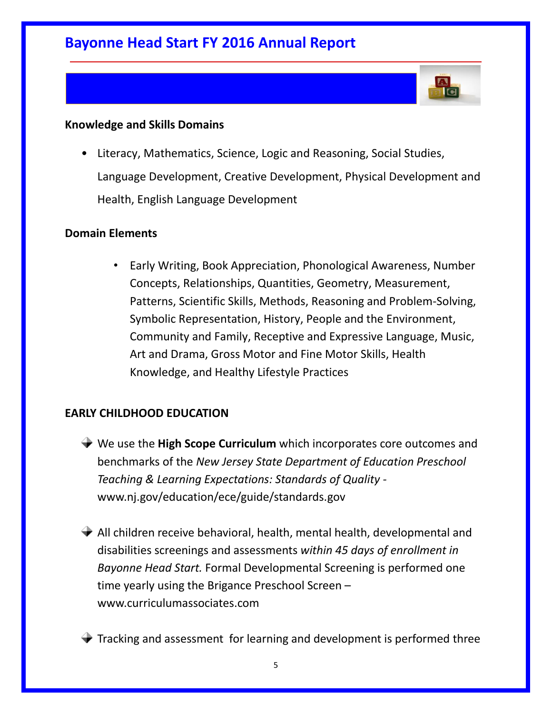

#### **Knowledge and Skills Domains**

• Literacy, Mathematics, Science, Logic and Reasoning, Social Studies, Language Development, Creative Development, Physical Development and Health, English Language Development

#### **Domain Elements**

• Early Writing, Book Appreciation, Phonological Awareness, Number Concepts, Relationships, Quantities, Geometry, Measurement, Patterns, Scientific Skills, Methods, Reasoning and Problem-Solving, Symbolic Representation, History, People and the Environment, Community and Family, Receptive and Expressive Language, Music, Art and Drama, Gross Motor and Fine Motor Skills, Health Knowledge, and Healthy Lifestyle Practices

#### **EARLY CHILDHOOD EDUCATION**

- We use the **High Scope Curriculum** which incorporates core outcomes and benchmarks of the *New Jersey State Department of Education Preschool Teaching & Learning Expectations: Standards of Quality*  www.nj.gov/education/ece/guide/standards.gov
- All children receive behavioral, health, mental health, developmental and disabilities screenings and assessments *within 45 days of enrollment in Bayonne Head Start.* Formal Developmental Screening is performed one time yearly using the Brigance Preschool Screen – www.curriculumassociates.com
- Tracking and assessment for learning and development is performed three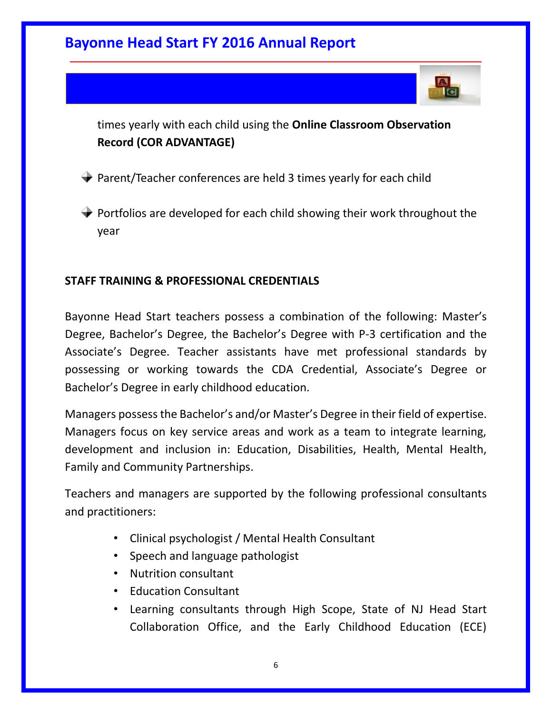

times yearly with each child using the **Online Classroom Observation Record (COR ADVANTAGE)**

- $\rightarrow$  Parent/Teacher conferences are held 3 times yearly for each child
- $\blacktriangleright$  Portfolios are developed for each child showing their work throughout the year

### **STAFF TRAINING & PROFESSIONAL CREDENTIALS**

Bayonne Head Start teachers possess a combination of the following: Master's Degree, Bachelor's Degree, the Bachelor's Degree with P-3 certification and the Associate's Degree. Teacher assistants have met professional standards by possessing or working towards the CDA Credential, Associate's Degree or Bachelor's Degree in early childhood education.

Managers possess the Bachelor's and/or Master's Degree in their field of expertise. Managers focus on key service areas and work as a team to integrate learning, development and inclusion in: Education, Disabilities, Health, Mental Health, Family and Community Partnerships.

Teachers and managers are supported by the following professional consultants and practitioners:

- Clinical psychologist / Mental Health Consultant
- Speech and language pathologist
- Nutrition consultant
- Education Consultant
- Learning consultants through High Scope, State of NJ Head Start Collaboration Office, and the Early Childhood Education (ECE)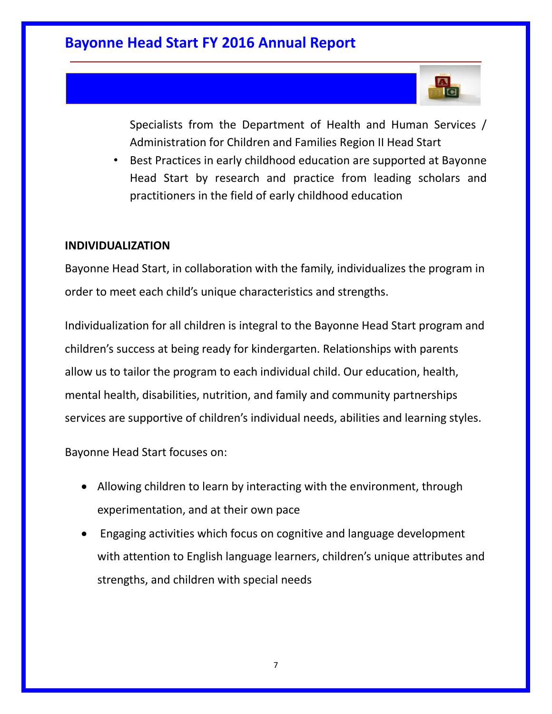Specialists from the Department of Health and Human Services / Administration for Children and Families Region II Head Start

• Best Practices in early childhood education are supported at Bayonne Head Start by research and practice from leading scholars and practitioners in the field of early childhood education

#### **INDIVIDUALIZATION**

Bayonne Head Start, in collaboration with the family, individualizes the program in order to meet each child's unique characteristics and strengths.

Individualization for all children is integral to the Bayonne Head Start program and children's success at being ready for kindergarten. Relationships with parents allow us to tailor the program to each individual child. Our education, health, mental health, disabilities, nutrition, and family and community partnerships services are supportive of children's individual needs, abilities and learning styles.

Bayonne Head Start focuses on:

- Allowing children to learn by interacting with the environment, through experimentation, and at their own pace
- Engaging activities which focus on cognitive and language development with attention to English language learners, children's unique attributes and strengths, and children with special needs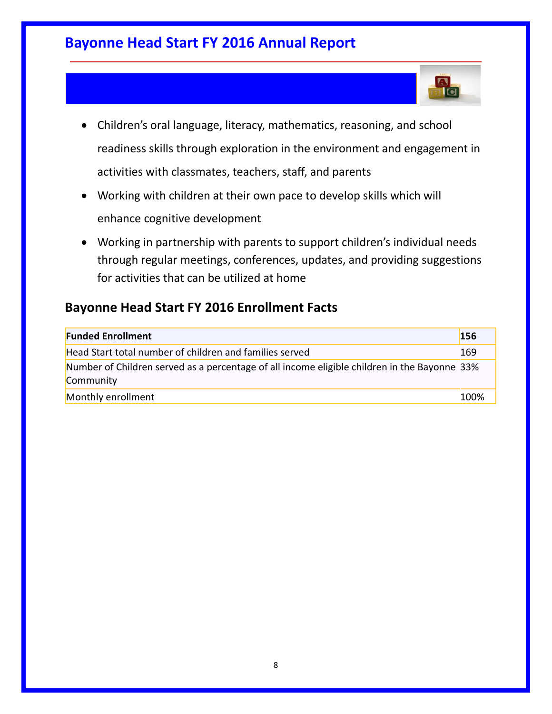Children's oral language, literacy, mathematics, reasoning, and school readiness skills through exploration in the environment and engagement in activities with classmates, teachers, staff, and parents

7. V  $\overline{G}$ 

- Working with children at their own pace to develop skills which will enhance cognitive development
- Working in partnership with parents to support children's individual needs through regular meetings, conferences, updates, and providing suggestions for activities that can be utilized at home

### **Bayonne Head Start FY 2016 Enrollment Facts**

| <b>Funded Enrollment</b>                                                                     | 156  |
|----------------------------------------------------------------------------------------------|------|
| Head Start total number of children and families served                                      | 169  |
| Number of Children served as a percentage of all income eligible children in the Bayonne 33% |      |
| Community                                                                                    |      |
| Monthly enrollment                                                                           | 100% |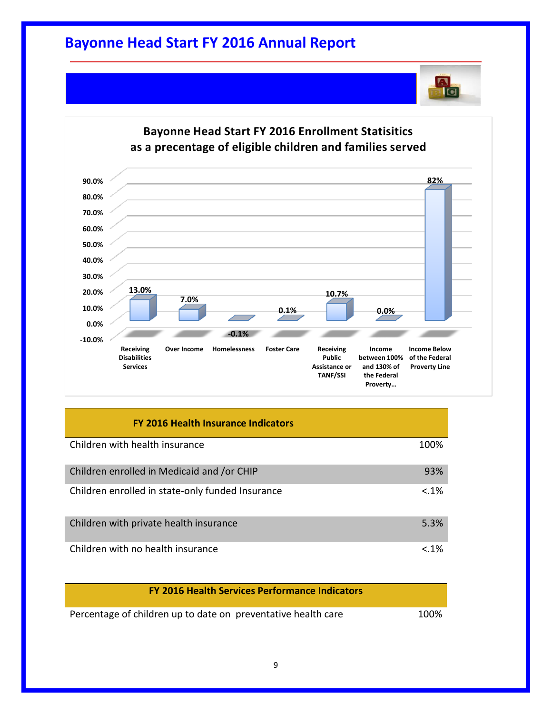

#### **-10.0% 0.0% 10.0% 20.0% 30.0% 40.0% 50.0% 60.0% 70.0% 80.0% 90.0% Receiving Disabilities Services Over Income Homelessness Foster Care Receiving Public Assistance or TANF/SSI Income between 100% and 130% of the Federal Proverty… Income Below of the Federal Proverty Line 13.0% 7.0% -0.1% 0.1% 10.7% 0.0% 82% Bayonne Head Start FY 2016 Enrollment Statisitics as a precentage of eligible children and families served**

#### **FY 2016 Health Insurance Indicators**

| Children with health insurance                   | 100%    |
|--------------------------------------------------|---------|
| Children enrolled in Medicaid and /or CHIP       | 93%     |
| Children enrolled in state-only funded Insurance | $& 1\%$ |
| Children with private health insurance           | 5.3%    |
| Children with no health insurance                | $1\%$   |

#### **FY 2016 Health Services Performance Indicators**

Percentage of children up to date on preventative health care 100%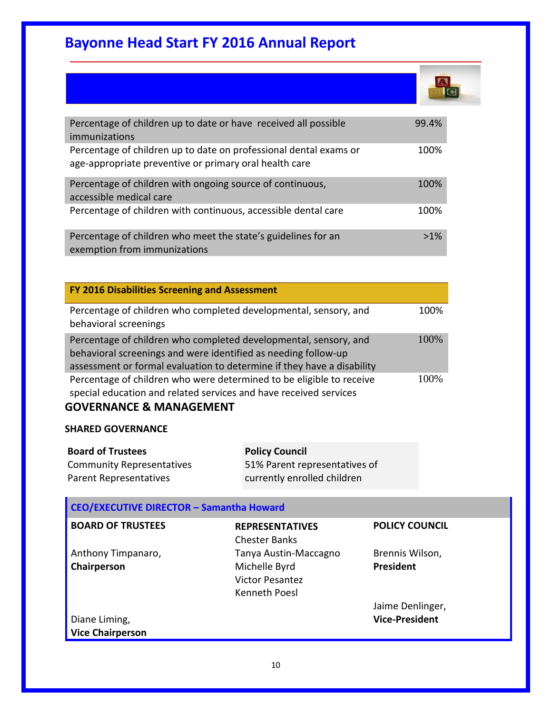| Percentage of children up to date or have received all possible<br>immunizations                                            | 99.4%  |
|-----------------------------------------------------------------------------------------------------------------------------|--------|
| Percentage of children up to date on professional dental exams or<br>age-appropriate preventive or primary oral health care | 100%   |
| Percentage of children with ongoing source of continuous,<br>accessible medical care                                        | 100%   |
| Percentage of children with continuous, accessible dental care                                                              | 100%   |
| Percentage of children who meet the state's guidelines for an<br>exemption from immunizations                               | $>1\%$ |
|                                                                                                                             |        |
| FY 2016 Disabilities Screening and Assessment                                                                               |        |

| Percentage of children who completed developmental, sensory, and<br>behavioral screenings                                                                                                                    | 100% |
|--------------------------------------------------------------------------------------------------------------------------------------------------------------------------------------------------------------|------|
| Percentage of children who completed developmental, sensory, and<br>behavioral screenings and were identified as needing follow-up<br>assessment or formal evaluation to determine if they have a disability | 100% |
| Percentage of children who were determined to be eligible to receive<br>special education and related services and have received services                                                                    | 100% |

### **GOVERNANCE & MANAGEMENT**

### **SHARED GOVERNANCE**

| <b>Board of Trustees</b>         | <b>Policy Council</b>         |
|----------------------------------|-------------------------------|
| <b>Community Representatives</b> | 51% Parent representatives of |
| Parent Representatives           | currently enrolled children   |

| <b>CEO/EXECUTIVE DIRECTOR - Samantha Howard</b> |                                                                                   |                                           |  |
|-------------------------------------------------|-----------------------------------------------------------------------------------|-------------------------------------------|--|
| <b>BOARD OF TRUSTEES</b>                        | <b>REPRESENTATIVES</b><br><b>Chester Banks</b>                                    | <b>POLICY COUNCIL</b>                     |  |
| Anthony Timpanaro,<br>Chairperson               | Tanya Austin-Maccagno<br>Michelle Byrd<br><b>Victor Pesantez</b><br>Kenneth Poesl | Brennis Wilson,<br>President              |  |
| Diane Liming,<br><b>Vice Chairperson</b>        |                                                                                   | Jaime Denlinger,<br><b>Vice-President</b> |  |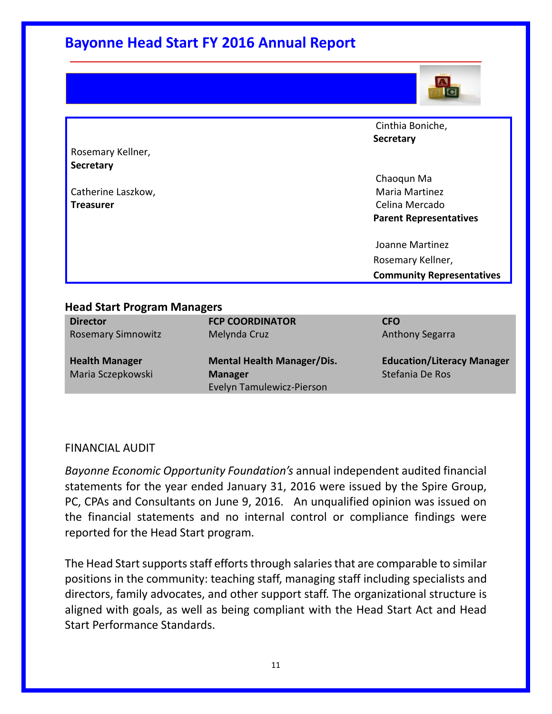

Cinthia Boniche, **Secretary**

Chaoqun Ma Maria Martinez Celina Mercado **Parent Representatives**

Joanne Martinez Rosemary Kellner, **Community Representatives**

#### **Head Start Program Managers**

| <b>Director</b>           | <b>FCP COORDINATOR</b>            | <b>CFO</b>                        |
|---------------------------|-----------------------------------|-----------------------------------|
| <b>Rosemary Simnowitz</b> | Melynda Cruz                      | <b>Anthony Segarra</b>            |
|                           |                                   |                                   |
|                           |                                   |                                   |
| <b>Health Manager</b>     | <b>Mental Health Manager/Dis.</b> | <b>Education/Literacy Manager</b> |
| Maria Sczepkowski         | <b>Manager</b>                    | Stefania De Ros                   |

#### FINANCIAL AUDIT

Rosemary Kellner,

Catherine Laszkow,

**Secretary**

**Treasurer**

*Bayonne Economic Opportunity Foundation's* annual independent audited financial statements for the year ended January 31, 2016 were issued by the Spire Group, PC, CPAs and Consultants on June 9, 2016. An unqualified opinion was issued on the financial statements and no internal control or compliance findings were reported for the Head Start program.

The Head Start supports staff efforts through salaries that are comparable to similar positions in the community: teaching staff, managing staff including specialists and directors, family advocates, and other support staff. The organizational structure is aligned with goals, as well as being compliant with the Head Start Act and Head Start Performance Standards.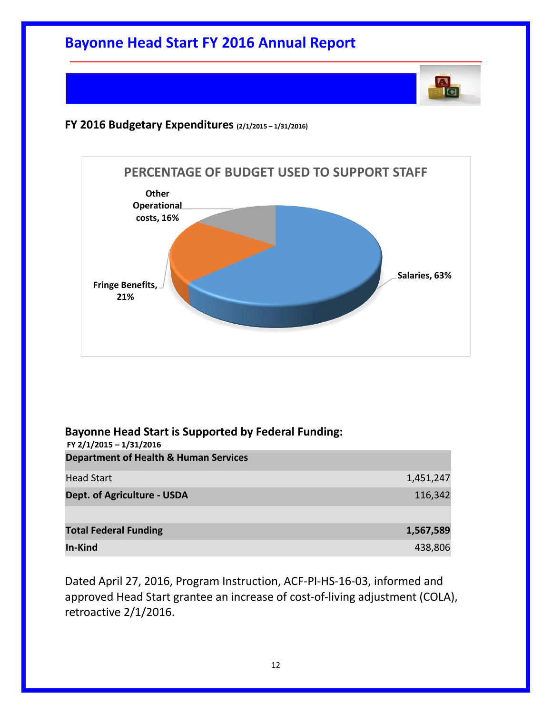



 $\left| \frac{1}{2} \right|$ **I**GI

#### **Bayonne Head Start is Supported by Federal Funding:**

**FY 2/1/2015 – 1/31/2016**

| <b>Department of Health &amp; Human Services</b> |           |
|--------------------------------------------------|-----------|
| <b>Head Start</b>                                | 1,451,247 |
| <b>Dept. of Agriculture - USDA</b>               | 116,342   |
|                                                  |           |
| <b>Total Federal Funding</b>                     | 1,567,589 |
| In-Kind                                          | 438,806   |

Dated April 27, 2016, Program Instruction, ACF-PI-HS-16-03, informed and approved Head Start grantee an increase of cost-of-living adjustment (COLA), retroactive 2/1/2016.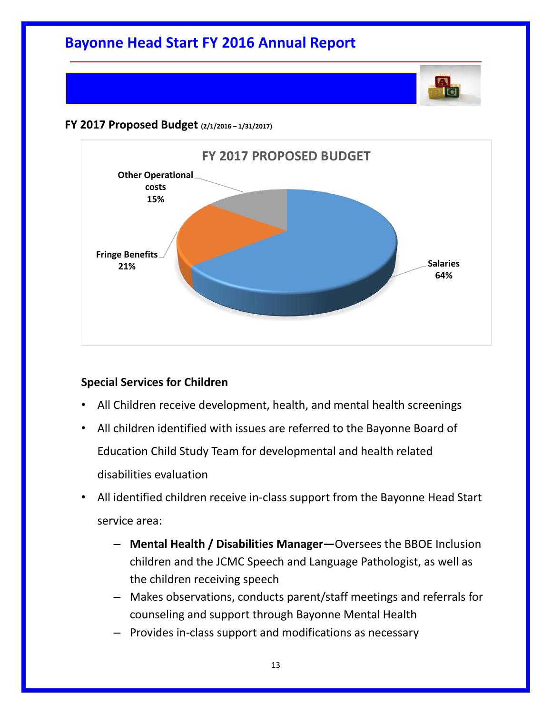

#### **FY 2017 Proposed Budget (2/1/2016 – 1/31/2017)**



#### **Special Services for Children**

- All Children receive development, health, and mental health screenings
- All children identified with issues are referred to the Bayonne Board of Education Child Study Team for developmental and health related disabilities evaluation
- All identified children receive in-class support from the Bayonne Head Start service area:
	- **Mental Health / Disabilities Manager—**Oversees the BBOE Inclusion children and the JCMC Speech and Language Pathologist, as well as the children receiving speech
	- Makes observations, conducts parent/staff meetings and referrals for counseling and support through Bayonne Mental Health
	- Provides in-class support and modifications as necessary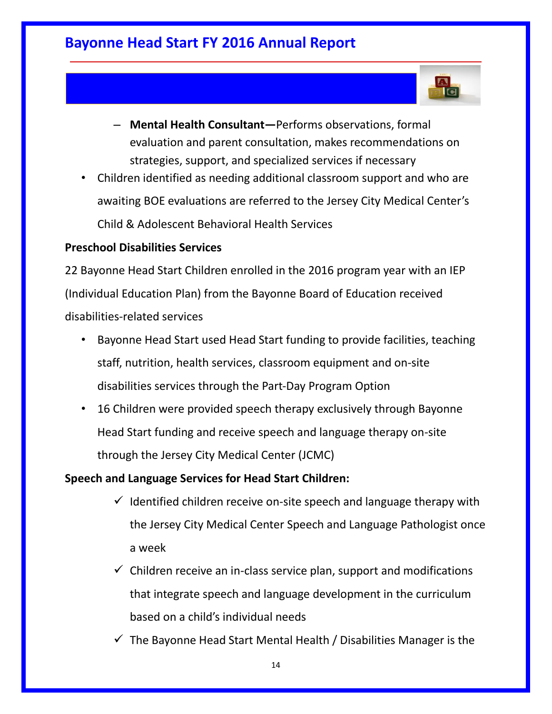- **Mental Health Consultant—**Performs observations, formal evaluation and parent consultation, makes recommendations on strategies, support, and specialized services if necessary
- Children identified as needing additional classroom support and who are awaiting BOE evaluations are referred to the Jersey City Medical Center's Child & Adolescent Behavioral Health Services

### **Preschool Disabilities Services**

22 Bayonne Head Start Children enrolled in the 2016 program year with an IEP (Individual Education Plan) from the Bayonne Board of Education received disabilities-related services

- Bayonne Head Start used Head Start funding to provide facilities, teaching staff, nutrition, health services, classroom equipment and on-site disabilities services through the Part-Day Program Option
- 16 Children were provided speech therapy exclusively through Bayonne Head Start funding and receive speech and language therapy on-site through the Jersey City Medical Center (JCMC)

#### **Speech and Language Services for Head Start Children:**

- $\checkmark$  Identified children receive on-site speech and language therapy with the Jersey City Medical Center Speech and Language Pathologist once a week
- $\checkmark$  Children receive an in-class service plan, support and modifications that integrate speech and language development in the curriculum based on a child's individual needs
- $\checkmark$  The Bayonne Head Start Mental Health / Disabilities Manager is the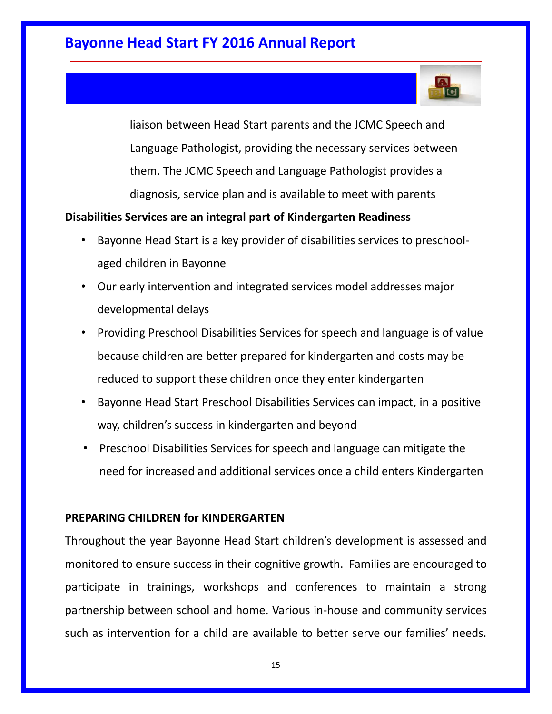

liaison between Head Start parents and the JCMC Speech and Language Pathologist, providing the necessary services between them. The JCMC Speech and Language Pathologist provides a diagnosis, service plan and is available to meet with parents

### **Disabilities Services are an integral part of Kindergarten Readiness**

- Bayonne Head Start is a key provider of disabilities services to preschoolaged children in Bayonne
- Our early intervention and integrated services model addresses major developmental delays
- Providing Preschool Disabilities Services for speech and language is of value because children are better prepared for kindergarten and costs may be reduced to support these children once they enter kindergarten
- Bayonne Head Start Preschool Disabilities Services can impact, in a positive way, children's success in kindergarten and beyond
- Preschool Disabilities Services for speech and language can mitigate the need for increased and additional services once a child enters Kindergarten

#### **PREPARING CHILDREN for KINDERGARTEN**

Throughout the year Bayonne Head Start children's development is assessed and monitored to ensure success in their cognitive growth. Families are encouraged to participate in trainings, workshops and conferences to maintain a strong partnership between school and home. Various in-house and community services such as intervention for a child are available to better serve our families' needs.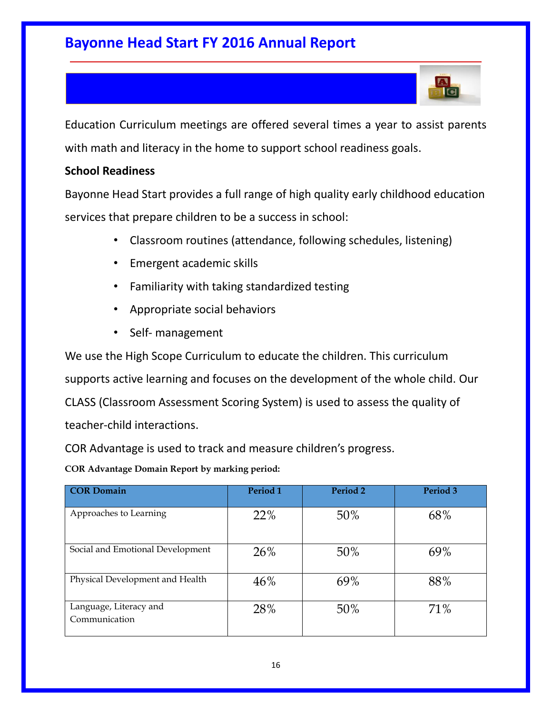Education Curriculum meetings are offered several times a year to assist parents with math and literacy in the home to support school readiness goals.

#### **School Readiness**

Bayonne Head Start provides a full range of high quality early childhood education services that prepare children to be a success in school:

- Classroom routines (attendance, following schedules, listening)
- Emergent academic skills
- Familiarity with taking standardized testing
- Appropriate social behaviors
- Self- management

We use the High Scope Curriculum to educate the children. This curriculum supports active learning and focuses on the development of the whole child. Our CLASS (Classroom Assessment Scoring System) is used to assess the quality of teacher-child interactions.

COR Advantage is used to track and measure children's progress.

**COR Advantage Domain Report by marking period:** 

| <b>COR Domain</b>                       | Period 1 | Period 2 | Period 3 |
|-----------------------------------------|----------|----------|----------|
| Approaches to Learning                  | 22%      | $50\%$   | 68%      |
| Social and Emotional Development        | 26%      | $50\%$   | 69%      |
| Physical Development and Health         | 46%      | 69%      | 88%      |
| Language, Literacy and<br>Communication | 28%      | $50\%$   | 71%      |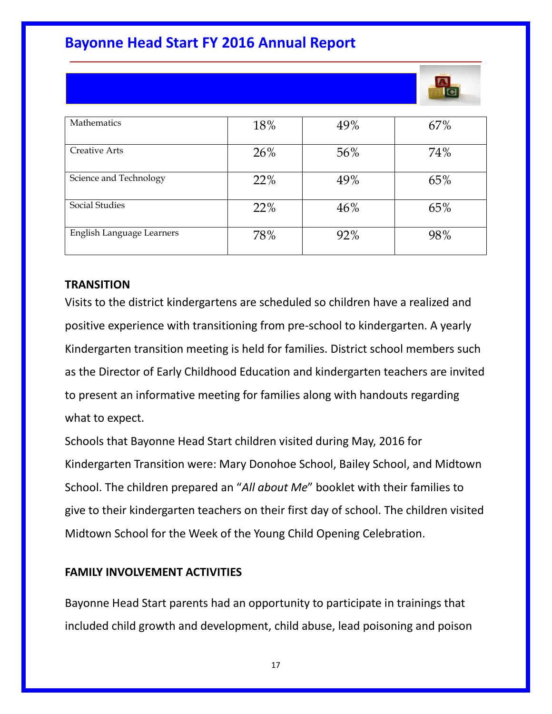|                           |     |     | $\blacksquare$ |
|---------------------------|-----|-----|----------------|
|                           |     |     |                |
| Mathematics               | 18% | 49% | 67%            |
| <b>Creative Arts</b>      | 26% | 56% | 74%            |
| Science and Technology    | 22% | 49% | 65%            |
| Social Studies            | 22% | 46% | 65%            |
| English Language Learners | 78% | 92% | 98%            |

### **TRANSITION**

Visits to the district kindergartens are scheduled so children have a realized and positive experience with transitioning from pre-school to kindergarten. A yearly Kindergarten transition meeting is held for families. District school members such as the Director of Early Childhood Education and kindergarten teachers are invited to present an informative meeting for families along with handouts regarding what to expect.

Schools that Bayonne Head Start children visited during May, 2016 for Kindergarten Transition were: Mary Donohoe School, Bailey School, and Midtown School. The children prepared an "*All about Me*" booklet with their families to give to their kindergarten teachers on their first day of school. The children visited Midtown School for the Week of the Young Child Opening Celebration.

#### **FAMILY INVOLVEMENT ACTIVITIES**

Bayonne Head Start parents had an opportunity to participate in trainings that included child growth and development, child abuse, lead poisoning and poison

17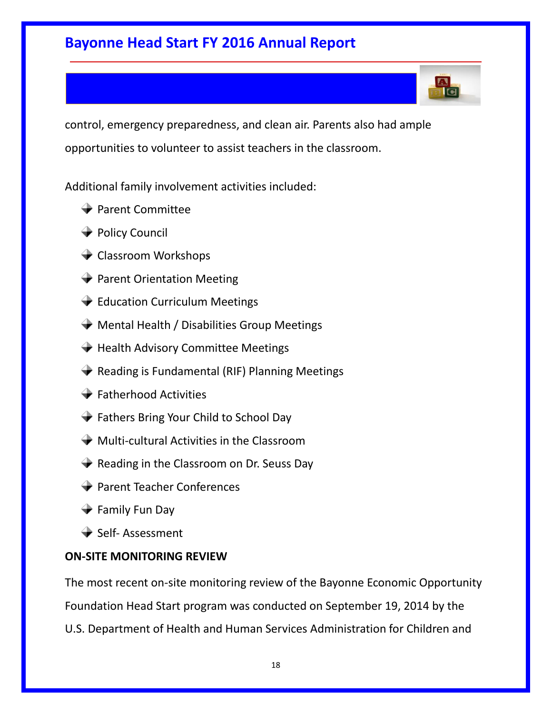control, emergency preparedness, and clean air. Parents also had ample opportunities to volunteer to assist teachers in the classroom.

Additional family involvement activities included:

- $\rightarrow$  Parent Committee
- **→ Policy Council**
- **← Classroom Workshops**
- $\blacktriangleright$  Parent Orientation Meeting
- **► Education Curriculum Meetings**
- $\rightarrow$  Mental Health / Disabilities Group Meetings
- $\rightarrow$  Health Advisory Committee Meetings
- $\rightarrow$  Reading is Fundamental (RIF) Planning Meetings
- $\blacktriangleright$  Fatherhood Activities
- **→** Fathers Bring Your Child to School Day
- $\rightarrow$  Multi-cultural Activities in the Classroom
- $\blacktriangleright$  Reading in the Classroom on Dr. Seuss Day
- **→ Parent Teacher Conferences**
- $\rightarrow$  Family Fun Day
- Self- Assessment

### **ON-SITE MONITORING REVIEW**

The most recent on-site monitoring review of the Bayonne Economic Opportunity Foundation Head Start program was conducted on September 19, 2014 by the U.S. Department of Health and Human Services Administration for Children and